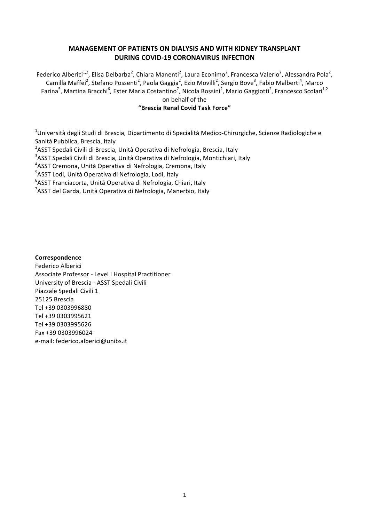## **MANAGEMENT OF PATIENTS ON DIALYSIS AND WITH KIDNEY TRANSPLANT DURING COVID-19 CORONAVIRUS INFECTION**

Federico Alberici<sup>1,2</sup>, Elisa Delbarba<sup>2</sup>, Chiara Manenti<sup>2</sup>, Laura Econimo<sup>2</sup>, Francesca Valerio<sup>2</sup>, Alessandra Pola<sup>2</sup>, Camilla Maffei<sup>2</sup>, Stefano Possenti<sup>2</sup>, Paola Gaggia<sup>2</sup>, Ezio Movilli<sup>2</sup>, Sergio Bove<sup>3</sup>, Fabio Malberti<sup>4</sup>, Marco Farina<sup>5</sup>, Martina Bracchi<sup>6</sup>, Ester Maria Costantino<sup>7</sup>, Nicola Bossini<sup>2</sup>, Mario Gaggiotti<sup>2</sup>, Francesco Scolari<sup>1,2</sup>

on behalf of the 

#### **"Brescia Renal Covid Task Force"**

 $^4$ Università degli Studi di Brescia, Dipartimento di Specialità Medico-Chirurgiche, Scienze Radiologiche e Sanità Pubblica, Brescia, Italy

 $^{2}$ ASST Spedali Civili di Brescia, Unità Operativa di Nefrologia, Brescia, Italy

 $3$ ASST Spedali Civili di Brescia, Unità Operativa di Nefrologia, Montichiari, Italy

<sup>4</sup>ASST Cremona, Unità Operativa di Nefrologia, Cremona, Italy

<sup>5</sup>ASST Lodi, Unità Operativa di Nefrologia, Lodi, Italy

<sup>6</sup>ASST Franciacorta, Unità Operativa di Nefrologia, Chiari, Italy

<sup>7</sup>ASST del Garda, Unità Operativa di Nefrologia, Manerbio, Italy

**Correspondence** Federico Alberici Associate Professor - Level I Hospital Practitioner University of Brescia - ASST Spedali Civili Piazzale Spedali Civili 1 25125 Brescia Tel +39 0303996880 Tel +39 0303995621 Tel +39 0303995626 Fax +39 0303996024 e-mail: federico.alberici@unibs.it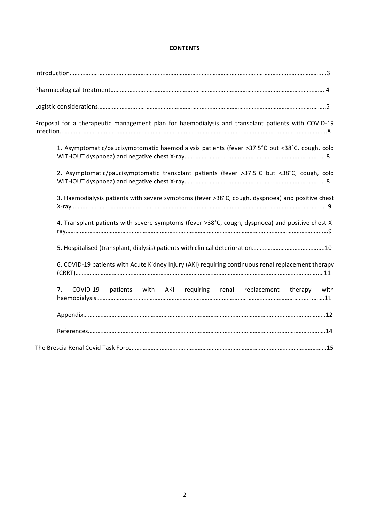## **CONTENTS**

| Proposal for a therapeutic management plan for haemodialysis and transplant patients with COVID-19 |
|----------------------------------------------------------------------------------------------------|
| 1. Asymptomatic/paucisymptomatic haemodialysis patients (fever >37.5°C but <38°C, cough, cold      |
| 2. Asymptomatic/paucisymptomatic transplant patients (fever >37.5°C but <38°C, cough, cold         |
| 3. Haemodialysis patients with severe symptoms (fever >38°C, cough, dyspnoea) and positive chest   |
| 4. Transplant patients with severe symptoms (fever >38°C, cough, dyspnoea) and positive chest X-   |
|                                                                                                    |
| 6. COVID-19 patients with Acute Kidney Injury (AKI) requiring continuous renal replacement therapy |
| patients with AKI requiring renal replacement therapy<br>7.<br>COVID-19<br>with                    |
|                                                                                                    |
|                                                                                                    |
|                                                                                                    |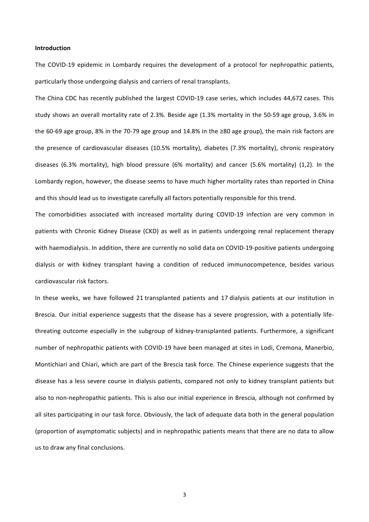#### **Introduction**

The COVID-19 epidemic in Lombardy requires the development of a protocol for nephropathic patients, particularly those undergoing dialysis and carriers of renal transplants.

The China CDC has recently published the largest COVID-19 case series, which includes 44,672 cases. This study shows an overall mortality rate of 2.3%. Beside age (1.3% mortality in the 50-59 age group, 3.6% in the 60-69 age group, 8% in the 70-79 age group and 14.8% in the ≥80 age group), the main risk factors are the presence of cardiovascular diseases  $(10.5%$  mortality), diabetes  $(7.3%$  mortality), chronic respiratory diseases  $(6.3%$  mortality), high blood pressure  $(6%$  mortality) and cancer  $(5.6%$  mortality)  $(1,2)$ . In the Lombardy region, however, the disease seems to have much higher mortality rates than reported in China and this should lead us to investigate carefully all factors potentially responsible for this trend.

The comorbidities associated with increased mortality during COVID-19 infection are very common in patients with Chronic Kidney Disease (CKD) as well as in patients undergoing renal replacement therapy with haemodialysis. In addition, there are currently no solid data on COVID-19-positive patients undergoing dialysis or with kidney transplant having a condition of reduced immunocompetence, besides various cardiovascular risk factors.

In these weeks, we have followed 21 transplanted patients and 17 dialysis patients at our institution in Brescia. Our initial experience suggests that the disease has a severe progression, with a potentially lifethreating outcome especially in the subgroup of kidney-transplanted patients. Furthermore, a significant number of nephropathic patients with COVID-19 have been managed at sites in Lodi, Cremona, Manerbio, Montichiari and Chiari, which are part of the Brescia task force. The Chinese experience suggests that the disease has a less severe course in dialysis patients, compared not only to kidney transplant patients but also to non-nephropathic patients. This is also our initial experience in Brescia, although not confirmed by all sites participating in our task force. Obviously, the lack of adequate data both in the general population (proportion of asymptomatic subjects) and in nephropathic patients means that there are no data to allow us to draw any final conclusions.

3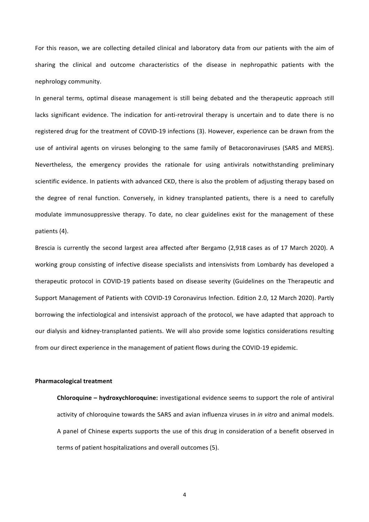For this reason, we are collecting detailed clinical and laboratory data from our patients with the aim of sharing the clinical and outcome characteristics of the disease in nephropathic patients with the nephrology community.

In general terms, optimal disease management is still being debated and the therapeutic approach still lacks significant evidence. The indication for anti-retroviral therapy is uncertain and to date there is no registered drug for the treatment of COVID-19 infections (3). However, experience can be drawn from the use of antiviral agents on viruses belonging to the same family of Betacoronaviruses (SARS and MERS). Nevertheless, the emergency provides the rationale for using antivirals notwithstanding preliminary scientific evidence. In patients with advanced CKD, there is also the problem of adjusting therapy based on the degree of renal function. Conversely, in kidney transplanted patients, there is a need to carefully modulate immunosuppressive therapy. To date, no clear guidelines exist for the management of these patients (4).

Brescia is currently the second largest area affected after Bergamo (2,918 cases as of 17 March 2020). A working group consisting of infective disease specialists and intensivists from Lombardy has developed a therapeutic protocol in COVID-19 patients based on disease severity (Guidelines on the Therapeutic and Support Management of Patients with COVID-19 Coronavirus Infection. Edition 2.0, 12 March 2020). Partly borrowing the infectiological and intensivist approach of the protocol, we have adapted that approach to our dialysis and kidney-transplanted patients. We will also provide some logistics considerations resulting from our direct experience in the management of patient flows during the COVID-19 epidemic.

#### **Pharmacological treatment**

**Chloroquine – hydroxychloroquine:** investigational evidence seems to support the role of antiviral activity of chloroquine towards the SARS and avian influenza viruses in *in vitro* and animal models. A panel of Chinese experts supports the use of this drug in consideration of a benefit observed in terms of patient hospitalizations and overall outcomes (5).

4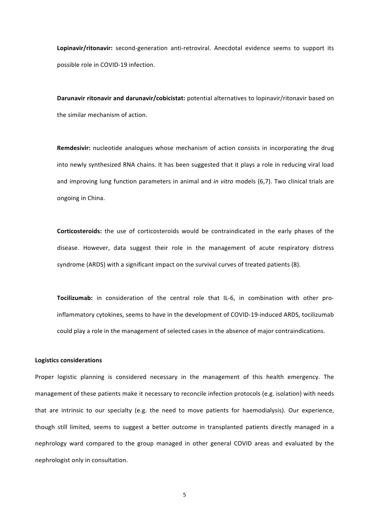Lopinavir/ritonavir: second-generation anti-retroviral. Anecdotal evidence seems to support its possible role in COVID-19 infection.

Darunavir ritonavir and darunavir/cobicistat: potential alternatives to lopinavir/ritonavir based on the similar mechanism of action.

**Remdesivir:** nucleotide analogues whose mechanism of action consists in incorporating the drug into newly synthesized RNA chains. It has been suggested that it plays a role in reducing viral load and improving lung function parameters in animal and *in vitro* models (6,7). Two clinical trials are ongoing in China.

**Corticosteroids:** the use of corticosteroids would be contraindicated in the early phases of the disease. However, data suggest their role in the management of acute respiratory distress syndrome (ARDS) with a significant impact on the survival curves of treated patients (8).

Tocilizumab: in consideration of the central role that IL-6, in combination with other proinflammatory cytokines, seems to have in the development of COVID-19-induced ARDS, tocilizumab could play a role in the management of selected cases in the absence of major contraindications.

#### **Logistics considerations**

Proper logistic planning is considered necessary in the management of this health emergency. The management of these patients make it necessary to reconcile infection protocols (e.g. isolation) with needs that are intrinsic to our specialty (e.g. the need to move patients for haemodialysis). Our experience, though still limited, seems to suggest a better outcome in transplanted patients directly managed in a nephrology ward compared to the group managed in other general COVID areas and evaluated by the nephrologist only in consultation.

5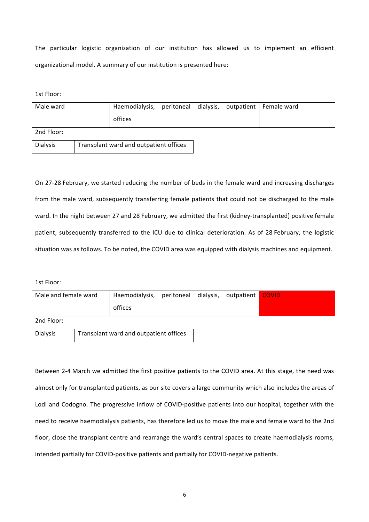The particular logistic organization of our institution has allowed us to implement an efficient organizational model. A summary of our institution is presented here:

1st Floor:

| Male ward  | Haemodialysis, peritoneal dialysis, outpatient Female ward |  |  |
|------------|------------------------------------------------------------|--|--|
|            | offices                                                    |  |  |
| 2nd Floor: |                                                            |  |  |

| Dialysis | Transplant ward and outpatient offices |
|----------|----------------------------------------|

On 27-28 February, we started reducing the number of beds in the female ward and increasing discharges from the male ward, subsequently transferring female patients that could not be discharged to the male ward. In the night between 27 and 28 February, we admitted the first (kidney-transplanted) positive female patient, subsequently transferred to the ICU due to clinical deterioration. As of 28 February, the logistic situation was as follows. To be noted, the COVID area was equipped with dialysis machines and equipment.

1st Floor:

| Male and female ward | Haemodialysis, peritoneal dialysis, outpatient<br>offices |  | <b>COVID</b> |
|----------------------|-----------------------------------------------------------|--|--------------|
| 2nd Floor:           |                                                           |  |              |
| <b>Dialysis</b>      | Transplant ward and outpatient offices                    |  |              |

Between 2-4 March we admitted the first positive patients to the COVID area. At this stage, the need was almost only for transplanted patients, as our site covers a large community which also includes the areas of Lodi and Codogno. The progressive inflow of COVID-positive patients into our hospital, together with the need to receive haemodialysis patients, has therefore led us to move the male and female ward to the 2nd floor, close the transplant centre and rearrange the ward's central spaces to create haemodialysis rooms, intended partially for COVID-positive patients and partially for COVID-negative patients.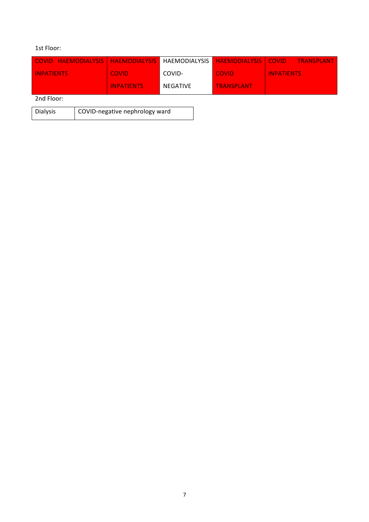## 1st Floor:

| COVID HAEMODIALYSIS   HAEMODIALYSIS   HAEMODIALYSIS |                   |          | <b>HAEMODIALYSIS COVID</b> | TRANSPLANT        |
|-----------------------------------------------------|-------------------|----------|----------------------------|-------------------|
| <b>INPATIENTS</b>                                   | <b>COVID</b>      | COVID-   | <b>COVID</b>               | <b>INPATIENTS</b> |
|                                                     | <b>INPATIENTS</b> | NEGATIVE | <b>TRANSPLANT</b>          |                   |
| $-1$                                                |                   |          |                            |                   |

2nd Floor:

| Dialysis | COVID-negative nephrology ward |
|----------|--------------------------------|
|          |                                |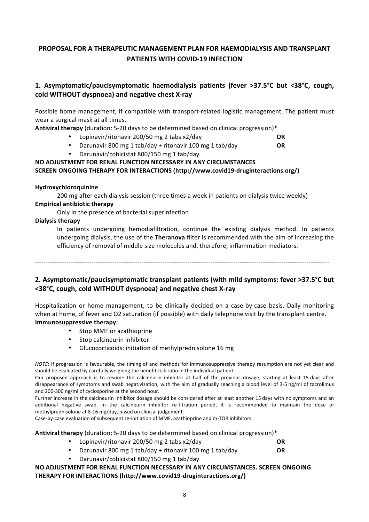# **PROPOSAL FOR A THERAPEUTIC MANAGEMENT PLAN FOR HAEMODIALYSIS AND TRANSPLANT PATIENTS WITH COVID-19 INFECTION**

# 1. Asymptomatic/paucisymptomatic haemodialysis patients (fever >37.5°C but <38°C, cough, **cold WITHOUT dyspnoea) and negative chest X-ray**

Possible home management, if compatible with transport-related logistic management. The patient must wear a surgical mask at all times.

**Antiviral therapy** (duration: 5-20 days to be determined based on clinical progression)\*

- Lopinavir/ritonavir 200/50 mg 2 tabs x2/day **OR**
- Darunavir 800 mg 1 tab/day + ritonavir 100 mg 1 tab/day **OR**
	- Darunavir/cobicistat 800/150 mg 1 tab/day

# **NO ADJUSTMENT FOR RENAL FUNCTION NECESSARY IN ANY CIRCUMSTANCES SCREEN ONGOING THERAPY FOR INTERACTIONS (http://www.covid19-druginteractions.org/)**

#### **Hydroxychloroquinine**

200 mg after each dialysis session (three times a week in patients on dialysis twice weekly)

## **Empirical antibiotic therapy**

Only in the presence of bacterial superinfection

## **Dialysis therapy**

In patients undergoing hemodiafiltration, continue the existing dialysis method. In patients undergoing dialysis, the use of the Theranova filter is recommended with the aim of increasing the efficiency of removal of middle size molecules and, therefore, inflammation mediators.

---------------------------------------------------------------------------------------------------------------------------------------------

# **2.** Asymptomatic/paucisymptomatic transplant patients (with mild symptoms: fever >37.5°C but **<38°C, cough, cold WITHOUT dyspnoea) and negative chest X-ray**

Hospitalization or home management, to be clinically decided on a case-by-case basis. Daily monitoring when at home, of fever and O2 saturation (if possible) with daily telephone visit by the transplant centre. **Immunosuppressive therapy:** 

- Stop MMF or azathioprine
- Stop calcineurin inhibitor
- Glucocorticoids: initiation of methylprednisolone 16 mg

*NOTE*: If progression is favourable, the timing of and methods for immunosuppressive therapy resumption are not yet clear and should be evaluated by carefully weighing the benefit-risk ratio in the individual patient.

Our proposed approach is to resume the calcineurin inhibitor at half of the previous dosage, starting at least 15 days after disappearance of symptoms and swab negativization, with the aim of gradually reaching a blood level of 3-5 ng/ml of tacrolimus and 200-300 ng/ml of cyclosporine at the second hour.

Further increase in the calcineurin inhibitor dosage should be considered after at least another 15 days with no symptoms and an additional negative swab. In the calcineurin inhibitor re-titration period, it is recommended to maintain the dose of methylprednisolone at 8-16 mg/day, based on clinical judgement.

Case-by-case evaluation of subsequent re-initiation of MMF, azathioprine and m-TOR inhibitors.

**Antiviral therapy** (duration: 5-20 days to be determined based on clinical progression)\*

- Lopinavir/ritonavir 200/50 mg 2 tabs x2/day **OR**
- Darunavir 800 mg 1 tab/day + ritonavir 100 mg 1 tab/day **OR**
- Darunavir/cobicistat 800/150 mg 1 tab/day

**NO ADJUSTMENT FOR RENAL FUNCTION NECESSARY IN ANY CIRCUMSTANCES. SCREEN ONGOING THERAPY FOR INTERACTIONS (http://www.covid19-druginteractions.org/)**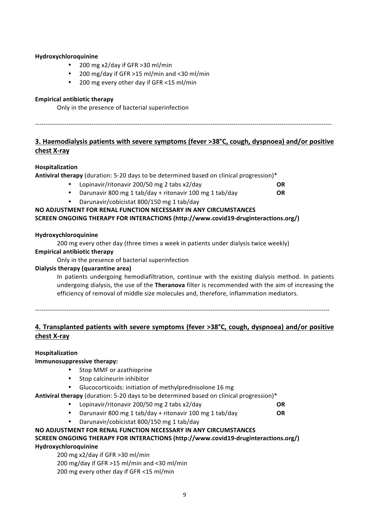#### **Hydroxychloroquinine**

- 200 mg  $x2$ /day if GFR >30 ml/min
- 200 mg/day if GFR  $>15$  ml/min and <30 ml/min
- 200 mg every other day if GFR <15 ml/min

## **Empirical antibiotic therapy**

Only in the presence of bacterial superinfection

# ----------------------------------------------------------------------------------------------------------------------------------------------

# **3.** Haemodialysis patients with severe symptoms (fever >38°C, cough, dyspnoea) and/or positive **chest X-ray**

## **Hospitalization**

**Antiviral therapy** (duration: 5-20 days to be determined based on clinical progression)\*

- Lopinavir/ritonavir 200/50 mg 2 tabs x2/day **OR**
- Darunavir 800 mg 1 tab/day + ritonavir 100 mg 1 tab/day **OR**
	- Darunavir/cobicistat 800/150 mg 1 tab/day

## **NO ADJUSTMENT FOR RENAL FUNCTION NECESSARY IN ANY CIRCUMSTANCES SCREEN ONGOING THERAPY FOR INTERACTIONS (http://www.covid19-druginteractions.org/)**

## **Hydroxychloroquinine**

200 mg every other day (three times a week in patients under dialysis twice weekly)

## **Empirical antibiotic therapy**

Only in the presence of bacterial superinfection

## **Dialysis therapy (quarantine area)**

In patients undergoing hemodiafiltration, continue with the existing dialysis method. In patients undergoing dialysis, the use of the **Theranova** filter is recommended with the aim of increasing the efficiency of removal of middle size molecules and, therefore, inflammation mediators.

---------------------------------------------------------------------------------------------------------------------------------------------

# 4. Transplanted patients with severe symptoms (fever >38<sup>o</sup>C, cough, dyspnoea) and/or positive **chest X-ray**

## **Hospitalization**

## **Immunosuppressive therapy:**

- Stop MMF or azathioprine
- Stop calcineurin inhibitor
- Glucocorticoids: initiation of methylprednisolone 16 mg

## **Antiviral therapy** (duration: 5-20 days to be determined based on clinical progression)\*

- Lopinavir/ritonavir 200/50 mg 2 tabs x2/day **OR**
- Darunavir 800 mg 1 tab/day + ritonavir 100 mg 1 tab/day **OR**
	- Darunavir/cobicistat 800/150 mg 1 tab/day

### **NO ADJUSTMENT FOR RENAL FUNCTION NECESSARY IN ANY CIRCUMSTANCES SCREEN ONGOING THERAPY FOR INTERACTIONS (http://www.covid19-druginteractions.org/) Hydroxychloroquinine**

# 200 mg x2/day if GFR  $>$ 30 ml/min

200 mg/day if GFR >15 ml/min and <30 ml/min

200 mg every other day if GFR <15 ml/min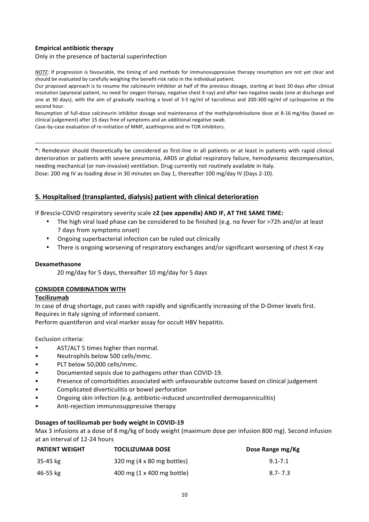## **Empirical antibiotic therapy**

#### Only in the presence of bacterial superinfection

*NOTE*: If progression is favourable, the timing of and methods for immunosuppressive therapy resumption are not yet clear and should be evaluated by carefully weighing the benefit-risk ratio in the individual patient.

Our proposed approach is to resume the calcineurin inhibitor at half of the previous dosage, starting at least 30 days after clinical resolution (apyrexial patient, no need for oxygen therapy, negative chest X-ray) and after two negative swabs (one at discharge and one at 30 days), with the aim of gradually reaching a level of 3-5 ng/ml of tacrolimus and 200-300 ng/ml of cyclosporine at the second hour.

Resumption of full-dose calcineurin inhibitor dosage and maintenance of the methylprednisolone dose at 8-16 mg/day (based on clinical judgement) after 15 days free of symptoms and an additional negative swab.

Case-by-case evaluation of re-initiation of MMF, azathioprine and m-TOR inhibitors.

----------------------------------------------------------------------------------------------------------------------------------------------

\*: Remdesivir should theoretically be considered as first-line in all patients or at least in patients with rapid clinical deterioration or patients with severe pneumonia, ARDS or global respiratory failure, hemodynamic decompensation, needing mechanical (or non-invasive) ventilation. Drug currently not routinely available in Italy. Dose: 200 mg IV as loading dose in 30 minutes on Day 1, thereafter 100 mg/day IV (Days 2-10).

## **5. Hospitalised (transplanted, dialysis) patient with clinical deterioration**

If Brescia-COVID respiratory severity scale ≥2 (see appendix) AND IF, AT THE SAME TIME:

- The high viral load phase can be considered to be finished (e.g. no fever for  $>72h$  and/or at least 7 days from symptoms onset)
- Ongoing superbacterial infection can be ruled out clinically
- There is ongoing worsening of respiratory exchanges and/or significant worsening of chest X-ray

#### **Dexamethasone**

20 mg/day for 5 days, thereafter 10 mg/day for 5 days

#### **CONSIDER COMBINATION WITH**

#### **Tocilizumab**

In case of drug shortage, put cases with rapidly and significantly increasing of the D-Dimer levels first. Requires in Italy signing of informed consent.

Perform quantiferon and viral marker assay for occult HBV hepatitis.

Exclusion criteria:

- AST/ALT 5 times higher than normal.
- Neutrophils below 500 cells/mmc.
- PLT below 50,000 cells/mmc.
- Documented sepsis due to pathogens other than COVID-19.
- Presence of comorbidities associated with unfavourable outcome based on clinical judgement
- Complicated diverticulitis or bowel perforation
- Ongoing skin infection (e.g. antibiotic-induced uncontrolled dermopanniculitis)
- Anti-rejection immunosuppressive therapy

#### Dosages of tocilizumab per body weight in COVID-19

Max 3 infusions at a dose of 8 mg/kg of body weight (maximum dose per infusion 800 mg). Second infusion at an interval of 12-24 hours

| PATIENT WEIGHT | <b>TOCILIZUMAB DOSE</b>              | Dose Range mg/Kg |
|----------------|--------------------------------------|------------------|
| 35-45 kg       | $320 \text{ mg}$ (4 x 80 mg bottles) | $9.1 - 7.1$      |
| 46-55 kg       | 400 mg (1 x 400 mg bottle)           | $8.7 - 7.3$      |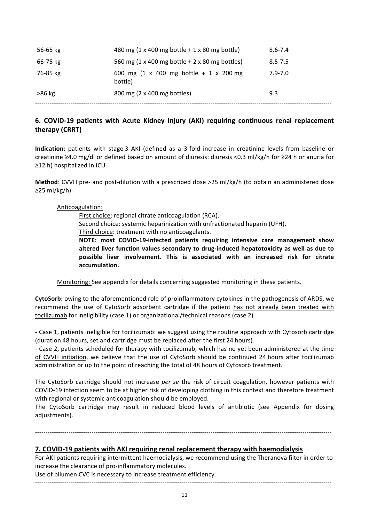| 56-65 kg | 480 mg (1 x 400 mg bottle + 1 x 80 mg bottle)     | $8.6 - 7.4$ |
|----------|---------------------------------------------------|-------------|
| 66-75 kg | 560 mg (1 x 400 mg bottle + 2 x 80 mg bottles)    | $8.5 - 7.5$ |
| 76-85 kg | 600 mg (1 x 400 mg bottle + 1 x 200 mg<br>bottle) | $7.9 - 7.0$ |
| >86 kg   | 800 mg (2 x 400 mg bottles)                       | 9.3         |
|          |                                                   |             |

# **6. COVID-19 patients with Acute Kidney Injury (AKI) requiring continuous renal replacement therapy (CRRT)**

**Indication**: patients with stage 3 AKI (defined as a 3-fold increase in creatinine levels from baseline or creatinine ≥4.0 mg/dl or defined based on amount of diuresis: diuresis <0.3 ml/kg/h for ≥24 h or anuria for ≥12 h) hospitalized in ICU

**Method**: CVVH pre- and post-dilution with a prescribed dose >25 ml/kg/h (to obtain an administered dose ≥25 ml/kg/h).

## Anticoagulation:

First choice: regional citrate anticoagulation (RCA).

Second choice: systemic heparinization with unfractionated heparin (UFH).

Third choice: treatment with no anticoagulants.

**NOTE:** most COVID-19-infected patients requiring intensive care management show altered liver function values secondary to drug-induced hepatotoxicity as well as due to possible liver involvement. This is associated with an increased risk for citrate **accumulation.**

Monitoring: See appendix for details concerning suggested monitoring in these patients.

**CytoSorb:** owing to the aforementioned role of proinflammatory cytokines in the pathogenesis of ARDS, we recommend the use of CytoSorb adsorbent cartridge if the patient has not already been treated with tocilizumab for ineligibility (case 1) or organizational/technical reasons (case 2).

- Case 1, patients ineligible for tocilizumab: we suggest using the routine approach with Cytosorb cartridge (duration 48 hours, set and cartridge must be replaced after the first 24 hours).

- Case 2, patients scheduled for therapy with tocilizumab, which has no yet been administered at the time of CVVH initiation, we believe that the use of CytoSorb should be continued 24 hours after tocilizumab administration or up to the point of reaching the total of 48 hours of Cytosorb treatment.

The CytoSorb cartridge should not increase *per se* the risk of circuit coagulation, however patients with COVID-19 infection seem to be at higher risk of developing clothing in this context and therefore treatment with regional or systemic anticoagulation should be employed.

The CytoSorb cartridge may result in reduced blood levels of antibiotic (see Appendix for dosing adjustments).

----------------------------------------------------------------------------------------------------------------------------------------------

#### **7. COVID-19 patients with AKI requiring renal replacement therapy with haemodialysis**

For AKI patients requiring intermittent haemodialysis, we recommend using the Theranova filter in order to increase the clearance of pro-inflammatory molecules.

Use of bilumen CVC is necessary to increase treatment efficiency.

----------------------------------------------------------------------------------------------------------------------------------------------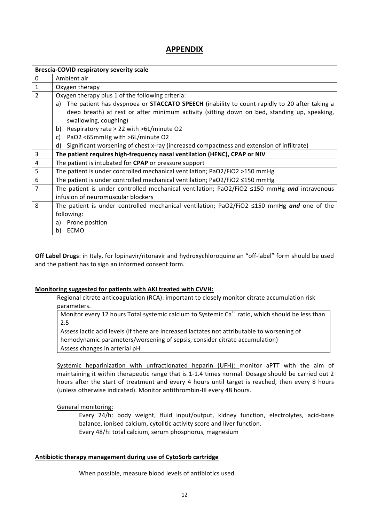# **APPENDIX**

|                | <b>Brescia-COVID respiratory severity scale</b>                                                           |
|----------------|-----------------------------------------------------------------------------------------------------------|
| 0              | Ambient air                                                                                               |
| $\mathbf{1}$   | Oxygen therapy                                                                                            |
| $\overline{2}$ | Oxygen therapy plus 1 of the following criteria:                                                          |
|                | The patient has dyspnoea or <b>STACCATO SPEECH</b> (inability to count rapidly to 20 after taking a<br>a) |
|                | deep breath) at rest or after minimum activity (sitting down on bed, standing up, speaking,               |
|                | swallowing, coughing)                                                                                     |
|                | Respiratory rate > 22 with >6L/minute O2<br>b)                                                            |
|                | PaO2 <65mmHg with >6L/minute O2<br>c)                                                                     |
|                | d)<br>Significant worsening of chest x-ray (increased compactness and extension of infiltrate)            |
| 3              | The patient requires high-frequency nasal ventilation (HFNC), CPAP or NIV                                 |
| 4              | The patient is intubated for <b>CPAP</b> or pressure support                                              |
| 5              | The patient is under controlled mechanical ventilation; PaO2/FiO2 >150 mmHg                               |
| 6              | The patient is under controlled mechanical ventilation; PaO2/FiO2 ≤150 mmHg                               |
| 7              | The patient is under controlled mechanical ventilation; PaO2/FiO2 ≤150 mmHg and intravenous               |
|                | infusion of neuromuscular blockers                                                                        |
| 8              | The patient is under controlled mechanical ventilation; PaO2/FiO2 $\leq$ 150 mmHg and one of the          |
|                | following:                                                                                                |
|                | Prone position<br>a)                                                                                      |
|                | b) ECMO                                                                                                   |

**Off Label Drugs**: in Italy, for lopinavir/ritonavir and hydroxychloroquine an "off-label" form should be used and the patient has to sign an informed consent form.

#### **Monitoring suggested for patients with AKI treated with CVVH:**

Regional citrate anticoagulation (RCA): important to closely monitor citrate accumulation risk parameters.

Monitor every 12 hours Total systemic calcium to Systemic Ca<sup>++</sup> ratio, which should be less than 2.5

Assess lactic acid levels (if there are increased lactates not attributable to worsening of hemodynamic parameters/worsening of sepsis, consider citrate accumulation) Assess changes in arterial pH.

Systemic heparinization with unfractionated heparin (UFH): monitor aPTT with the aim of maintaining it within therapeutic range that is 1-1.4 times normal. Dosage should be carried out 2 hours after the start of treatment and every 4 hours until target is reached, then every 8 hours (unless otherwise indicated). Monitor antithrombin-III every 48 hours.

#### General monitoring:

Every 24/h: body weight, fluid input/output, kidney function, electrolytes, acid-base balance, ionised calcium, cytolitic activity score and liver function. Every 48/h: total calcium, serum phosphorus, magnesium

#### Antibiotic therapy management during use of CytoSorb cartridge

When possible, measure blood levels of antibiotics used.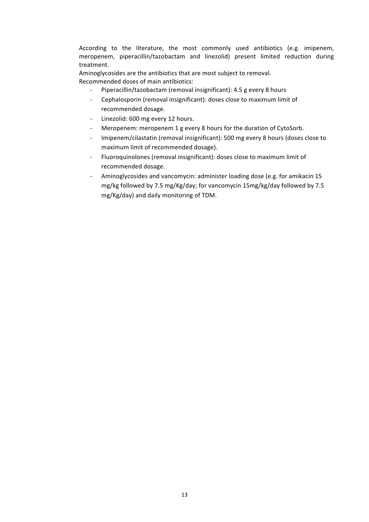According to the literature, the most commonly used antibiotics (e.g. imipenem, meropenem, piperacillin/tazobactam and linezolid) present limited reduction during treatment.

Aminoglycosides are the antibiotics that are most subject to removal. Recommended doses of main antibiotics:

- Piperacillin/tazobactam (removal insignificant): 4.5 g every 8 hours
- Cephalosporin (removal insignificant): doses close to maximum limit of recommended dosage.
- Linezolid: 600 mg every 12 hours.
- Meropenem: meropenem 1 g every 8 hours for the duration of CytoSorb.
- Imipenem/cilastatin (removal insignificant): 500 mg every 8 hours (doses close to maximum limit of recommended dosage).
- Fluoroquinolones (removal insignificant): doses close to maximum limit of recommended dosage.
- Aminoglycosides and vancomycin: administer loading dose (e.g. for amikacin 15 mg/kg followed by 7.5 mg/Kg/day; for vancomycin 15mg/kg/day followed by 7.5 mg/Kg/day) and daily monitoring of TDM.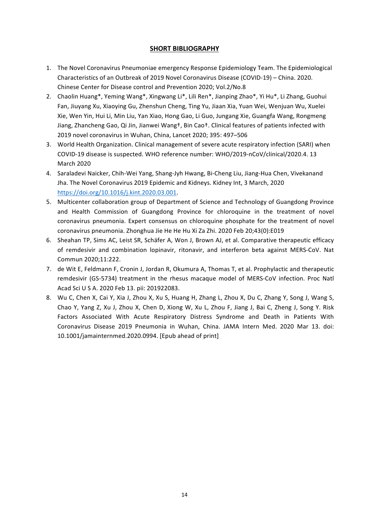## **SHORT BIBLIOGRAPHY**

- 1. The Novel Coronavirus Pneumoniae emergency Response Epidemiology Team. The Epidemiological Characteristics of an Outbreak of 2019 Novel Coronavirus Disease (COVID-19) - China. 2020. Chinese Center for Disease control and Prevention 2020; Vol.2/No.8
- 2. Chaolin Huang\*, Yeming Wang\*, Xingwang Li\*, Lili Ren\*, Jianping Zhao\*, Yi Hu\*, Li Zhang, Guohui Fan, Jiuyang Xu, Xiaoying Gu, Zhenshun Cheng, Ting Yu, Jiaan Xia, Yuan Wei, Wenjuan Wu, Xuelei Xie, Wen Yin, Hui Li, Min Liu, Yan Xiao, Hong Gao, Li Guo, Jungang Xie, Guangfa Wang, Rongmeng Jiang, Zhancheng Gao, Qi Jin, Jianwei Wang<sup>+</sup>, Bin Cao<sup>+</sup>. Clinical features of patients infected with 2019 novel coronavirus in Wuhan, China, Lancet 2020; 395: 497-506
- 3. World Health Organization. Clinical management of severe acute respiratory infection (SARI) when COVID-19 disease is suspected. WHO reference number: WHO/2019-nCoV/clinical/2020.4. 13 March 2020
- 4. Saraladevi Naicker, Chih-Wei Yang, Shang-Jyh Hwang, Bi-Cheng Liu, Jiang-Hua Chen, Vivekanand Jha. The Novel Coronavirus 2019 Epidemic and Kidneys. Kidney Int, 3 March, 2020 https://doi.org/10.1016/j.kint.2020.03.001.
- 5. Multicenter collaboration group of Department of Science and Technology of Guangdong Province and Health Commission of Guangdong Province for chloroquine in the treatment of novel coronavirus pneumonia. Expert consensus on chloroquine phosphate for the treatment of novel coronavirus pneumonia. Zhonghua Jie He He Hu Xi Za Zhi. 2020 Feb 20;43(0):E019
- 6. Sheahan TP, Sims AC, Leist SR, Schäfer A, Won J, Brown AJ, et al. Comparative therapeutic efficacy of remdesivir and combination lopinavir, ritonavir, and interferon beta against MERS-CoV. Nat Commun 2020;11:222.
- 7. de Wit E, Feldmann F, Cronin J, Jordan R, Okumura A, Thomas T, et al. Prophylactic and therapeutic remdesivir (GS-5734) treatment in the rhesus macaque model of MERS-CoV infection. Proc Natl Acad Sci U S A. 2020 Feb 13. pii: 201922083.
- 8. Wu C, Chen X, Cai Y, Xia J, Zhou X, Xu S, Huang H, Zhang L, Zhou X, Du C, Zhang Y, Song J, Wang S, Chao Y, Yang Z, Xu J, Zhou X, Chen D, Xiong W, Xu L, Zhou F, Jiang J, Bai C, Zheng J, Song Y. Risk Factors Associated With Acute Respiratory Distress Syndrome and Death in Patients With Coronavirus Disease 2019 Pneumonia in Wuhan, China. JAMA Intern Med. 2020 Mar 13. doi: 10.1001/jamainternmed.2020.0994. [Epub ahead of print]